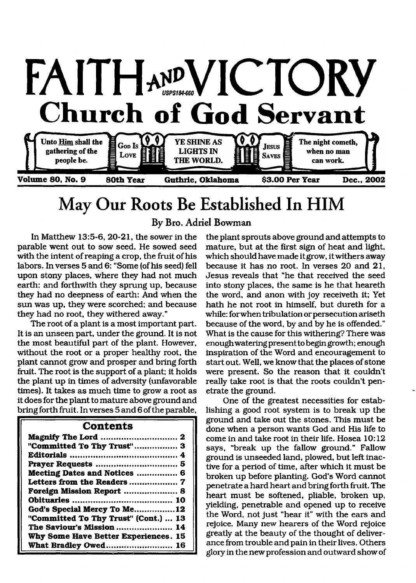

# May Our Roots Be Established In HIM

**By Bro. Adriel Bowman**

In Matthew 13:5-6, 20-21, the sower in the parable went out to sow seed. He sowed seed with the intent of reaping a crop, the fruit of his labors. In verses 5 and 6: "Some (of his seed) fell upon stony places, where they had not much earth: and forthwith they sprung up, because they had no deepness of earth: And when the sun was up, they were scorched; and because they had no root, they withered away."

The root of a plant is a most important part. It is an unseen part, under the ground. It is not the most beautiful part of the plant. However, without the root or a proper healthy root, the plant cannot grow and prosper and bring forth fruit. The root is the support of a plant; it holds the plant up in times of adversity (unfavorable times). It takes as much time to grow a root as it does for the plant to mature above ground and bring forth fruit. In verses 5 and 6 of the parable,

### **Contents**

| "Committed To Thy Trust" 3           |
|--------------------------------------|
|                                      |
|                                      |
| Meeting Dates and Notices  6         |
| Letters from the Readers  7          |
| Foreign Mission Report  8            |
|                                      |
| God's Special Mercy To Me12          |
| "Committed To Thy Trust" (Cont.)  13 |
| The Saviour's Mission  14            |
| Why Some Have Better Experiences. 15 |
| What Bradley Owed 16                 |

the plant sprouts above ground and attempts to mature, but at the first sign of heat and light, which should have made it grow, it withers away because it has no root. In verses 20 and 21, Jesus reveals that "he that received the seed into stony places, the same is he that heareth the word, and anon with joy receiveth it; Yet hath he not root in himself, but dureth for a while: for when tribulation or persecution ariseth because of the word, by and by he is offended." What is the cause for this withering? There was enough watering present to begin growth; enough inspiration of the Word and encouragement to start out. Well, we know that the places of stone were present. So the reason that it couldn't really take root is that the roots couldn't penetrate the ground.

One of the greatest necessities for establishing a good root system is to break up the ground and take out the stones. This must be done when a person wants God and His life to come in and take root in their life. Hosea 10:12 says, "break up the fallow ground." Fallow ground is unseeded land, plowed, but left inactive for a period of time, after which it must be broken up before planting. God's Word cannot penetrate a hard heart and bring forth fruit. The heart must be softened, pliable, broken up, yielding, penetrable and opened up to receive the Word, not just "hear it" with the ears and rejoice. Many new hearers of the Word rejoice greatly at the beauty of the thought of deliverance from trouble and pain in their lives. Others glory in the new profession and outward show of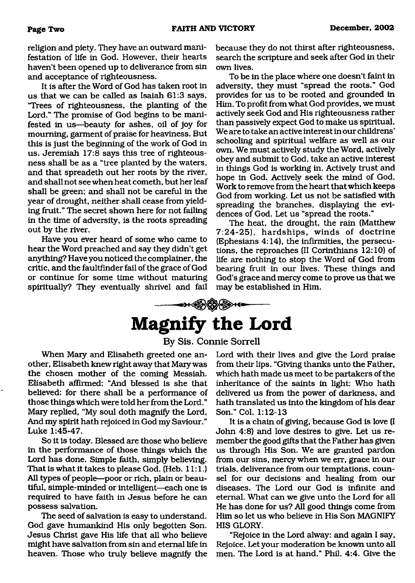religion and piety. They have an outward manifestation of life in God. However, their hearts haven't been opened up to deliverance from sin and acceptance of righteousness.

It is after the Word of God has taken root in us that we can be called as Isaiah 61:3 says, "Trees of righteousness, the planting of the Lord." The promise of God begins to be manifested in us—beauty for ashes, oil of joy for mourning, garment of praise for heaviness. But this is just the beginning of the work of God in us. Jeremiah 17:8 says this tree of righteousness shall be as a "tree planted by the waters, and that spreadeth out her roots by the river, and shall not see when heat cometh, but her leaf shall be green; and shall not be careful in the year of drought, neither shall cease from yielding fruit." The secret shown here for not failing in the time of adversity, is the roots spreading out by the river.

Have you ever heard of some who came to hear the Word preached and say they didn't get anything? Have you noticed the complainer, the critic, and the faultfinder fail of the grace of God or continue for some time without maturing spiritually? They eventually shrivel and fail because they do not thirst after righteousness, search the scripture and seek after God in their own lives.

To be in the place where one doesn't faint in adversity, they must "spread the roots." God provides for us to be rooted and grounded in Him. To profit from what God provides, we must actively seek God and His righteousness rather than passively expect God to make us spiritual. We are to take an active interest in our childrens' schooling and spiritual welfare as well as our own. We must actively study the Word, actively obey and submit to God, take an active interest in things God is working in. Actively trust and hope in God. Actively seek the mind of God. Work to remove from the heart that which keeps God from working. Let us not be satisfied with spreading the branches, displaying the evidences of God. Let us "spread the roots."

The heat, the drought, the rain (Matthew 7:24-25), hardships, winds of doctrine (Ephesians 4:14), the infirmities, the persecutions, the reproaches (II Corinthians 12:10) of life are nothing to stop the Word of God from bearing fruit in our lives. These things and God's grace and mercy come to prove us that we may be established in Him.

<span id="page-1-0"></span> $\rightarrow$ **Magnify the Lord**

#### **By Sis. Connie Sorrell**

When Mary and Elisabeth greeted one another, Elisabeth knew right away that Mary was the chosen mother of the coming Messiah. Elisabeth affirmed: "And blessed is she that believed: for there shall be a performance of those things which were told her from the Lord." Mary replied, "My soul doth magnify the Lord, And my spirit hath rejoiced in God my Saviour." Luke 1:45-47.

So it is today. Blessed are those who believe in the performance of those things which the Lord has done. Simple faith, simply believing. That is what it takes to please God. (Heb. 11:1.) All types of people—poor or rich, plain or beautiful, simple-minded or intelligent—each one is required to have faith in Jesus before he can possess salvation.

The seed of salvation is easy to understand. God gave humankind His only begotten Son. Jesus Christ gave His life that all who believe might have salvation from sin and eternal life in heaven. Those who truly believe magnify the

Lord with their lives and give the Lord praise from their lips. "Giving thanks unto the Father, which hath made us meet to be partakers of the inheritance of the saints in light: Who hath delivered us from the power of darkness, and hath translated us into the kingdom of his dear Son." Col. 1:12-13

It is a chain of giving, because God is love (I John 4:8) and love desires to give. Let us remember the good gifts that the Father has given us through His Son. We are granted pardon from our sins, mercy when we err, grace in our trials, deliverance from our temptations, counsel for our decisions and healing from our diseases. The Lord our God is infinite and eternal. What can we give unto the Lord for all He has done for us? All good things come from Him so let us who believe in His Son MAGNIFY HIS GLORY.

"Rejoice in the Lord alway: and again I say, Rejoice. Let your moderation be known unto all men. The Lord is at hand." Phil. 4:4. Give the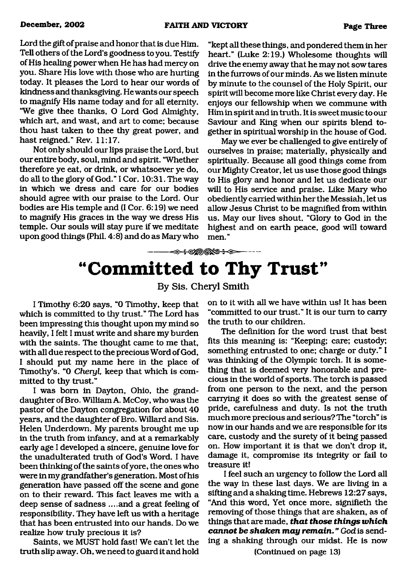Lord the gift of praise and honor that is due Him. Tell others of the Lord's goodness to you. Testify of His healing power when He has had mercy on you. Share His love with those who are hurting today. It pleases the Lord to hear our words of kindness and thanksgiving. He wants our speech to magnify His name today and for all eternity. "We give thee thanks, O Lord God Almighty, which art, and wast, and art to come; because thou hast taken to thee thy great power, and hast reigned." Rev. 11:17.

Not only should our lips praise the Lord, but our entire body, soul, mind and spirit. "Whether therefore ye eat, or drink, or whatsoever ye do, do all to the glory of God." I Cor. 10:31. The way in which we dress and care for our bodies should agree with our praise to the Lord. Our bodies are His temple and (I Cor. 6:19) we need to magnify His graces in the way we dress His temple. Our souls will stay pure if we meditate upon good things (Phil. 4:8) and do as Mary who

"kept all these things, and pondered them in her heart." (Luke 2:19.) Wholesome thoughts will drive the enemy away that he may not sow tares in the furrows of our minds. As we listen minute by minute to the counsel of the Holy Spirit, our spirit will become more like Christ every day. He enjoys our fellowship when we commune with Him in spirit and in truth. It is sweet music to our Saviour and King when our spirits blend together in spiritual worship in the house of God.

May we ever be challenged to give entirely of ourselves in praise; materially, physically and spiritually. Because all good things come from our Mighty Creator, let us use those good things to His glory and honor and let us dedicate our will to His service and praise. Like Mary who obediently carried within her the Messiah, let us allow Jesus Christ to be magnified from within us. May our lives shout, "Glory to God in the highest and on earth peace, good will toward men."

<span id="page-2-0"></span>--------------------------------------- **"Committed to Thy Trust"**

### **By Sis. Cheryl Smith**

I Timothy 6:20 says, "0 Timothy, keep that which is committed to thy trust." The Lord has been impressing this thought upon my mind so heavily, I felt I must write and share my burden with the saints. The thought came to me that, with all due respect to the precious Word of God, I should put my name here in the place of Timothy's. "0 *Cheryl* keep that which is committed to thy trust."

I was bom in Dayton, Ohio, the granddaughter of Bro. William A. McCoy, who was the pastor of the Dayton congregation for about 40 years, and the daughter of Bro. Willard and Sis. Helen Underdown. My parents brought me up in the truth from infancy, and at a remarkably early age I developed a sincere, genuine love for the unadulterated truth of God's Word. I have been thinking of the saints of yore, the ones who were in my grandfather's generation. Most of his generation have passed off the scene and gone on to their reward. This fact leaves me with a deep sense of sadness ....and a great feeling of responsibility. They have left us with a heritage that has been entrusted into our hands. Do we realize how truly precious it is?

Saints, we MUST hold fast! We can't let the truth slip away. Oh, we need to guard it and hold on to it with all we have within us! It has been "committed to our trust." It is our turn to carry the truth to our children.

The definition for the word trust that best fits this meaning is: "Keeping; care; custody; something entrusted to one; charge or duty." I was thinking of the Olympic torch. It is something that is deemed very honorable and precious in the world of sports. The torch is passed from one person to the next, and the person carrying it does so with the greatest sense of pride, carefulness and duty. Is not the truth much more precious and serious? The "torch" is now in our hands and we are responsible for its care, custody and the surety of it being passed on. How important it is that we don't drop it, damage it, compromise its integrity or fail to treasure it!

I feel such an urgency to follow the Lord all the way in these last days. We are living in a sifting and a shaking time. Hebrews 12:27 says, "And this word, Yet once more, signifieth the removing of those things that are shaken, as of things that are made, *that those things which cannot be shaken may remain*. " *God* is sending a shaking through our midst. He is now

(Continued on page 13)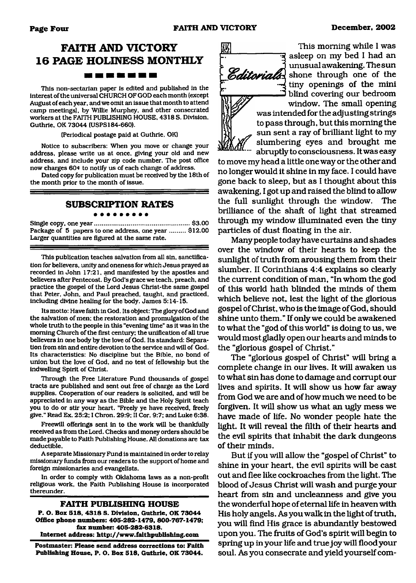# **FAITH AND VICTORY 16 PAGE HOLINESS MONTHLY** ▄▖▄▗▄▗▄▗▄▗▄

This non-sectarian paper is edited and published in the interest of the universal CHURCH OF GOD each month (except August of each year, and we omit an issue that month to attend camp meetings), by Willie Murphey, and other consecrated workers at the FAITH PUBLISHING HOUSE. 4318 S. Division. Guthrie, OK 73044 (USPS184-660).

(Periodical postage paid at Guthrie, OK)

Notice to subscribers: When you move or change your address, please write us at once, giving your old and new address, and include your zip code number. The post office now charges 60\* to notify us of each change of address.

Dated copy for publication must be received by the 18th of the month prior to the month of issue.

#### **SUBSCRIPTION RATES** . . . . . . . . .

Single copy, one year..................................................... \$3.00 Package of 5 papers to one address, one year ......... \$12.00 Larger quantities are figured at the same rate.

This publication teaches salvation from all sin, sanctification for believers, unity and oneness for which Jesus prayed as recorded in John 17:21, and manifested by the apostles and believers after Pentecost. By God's grace we teach, preach, and practice the gospel of the Lord Jesus Christ-the same gospel that Peter, John, and Paul preached, taught, and practiced, including divine healing for the body. James 5:14-15.

Its motto: Have faith in God. Its object: The glory of God and the salvation of men; the restoration and promulgation of the whole truth to the people in this "evening time" as it was in the morning Church of the first century: the unification of all true believers in one body by the love of God. Its standard: Separation from sin and entire devotion to the service and will of God. Its characteristics: No discipline but the Bible, no bond of union but the love of God. and no test of fellowship but the indwelling Spirit of Christ.

Through the Free Literature Fund thousands of gospel tracts are published and sent out free of charge as the Lord supplies. Cooperation of our readers is solicited, and will be appreciated in any way as the Bible and the Holy Spirit teach you to do or stir your heart. "Freely ye have received, freely give." Read Ex. 25:2; I Chron. 29:9; II Cor. 9:7; and Luke 6:38.

Freewill offerings sent in to the work will be thankfully received as from the Lord. Checks and money orders should be made payable to Faith Publishing House. All donations are tax deductible.

A separate Missionary Fund is maintained in order to relay missionary funds from our readers to the support of home and foreign missionaries and evangelists.

In order to comply with Oklahoma laws as a non-profit religious work, the Faith Publishing House is incorporated thereunder.

#### **FAITH PUBLISHING HOUSE**

**P. O. Box 518, 4318** S. **Division. Guthrie, OK 73044 Office phone numbers: 405-282-1479, 800-767-1479; fax number: 405-282-6318.**

**Internet address: <http://www.faithpiiblishing.com>**

**Postmaster: Please send address corrections to: Faith Publishing House, P. O. Box 518, Guthrie, OK 73044.**



This morning while I was asleep on my bed I had an unusual awakening. The sun Editorials- shone through one of the tiny openings of the mini blind covering our bedroom window. The small opening was intended for the adjusting strings to pass through, but this morning the sun sent a ray of brilliant light to my slumbering eyes and brought me abruptly to consciousness. It was easy

to move my head a little one way or the other and no longer would it shine in my face. I could have gone back to sleep, but as I thought about this awakening, I got up and raised the blind to allow the full sunlight through the window. The brilliance of the shaft of light that streamed through my window illuminated even the tiny particles of dust floating in the air.

Many people today have curtains and shades over the window of their hearts to keep the sunlight of truth from arousing them from their slumber. II Corinthians 4:4 explains so clearly the current condition of man, "In whom the god of this world hath blinded the minds of them which believe not, lest the light of the glorious gospel of Christ, who is the image of God, should shine unto them." If only we could be awakened to what the "god of this world" is doing to us, we would most gladly open our hearts and minds to the "glorious gospel of Christ."

The "glorious gospel of Christ" will bring a complete change in our lives. It will awaken us to what sin has done to damage and corrupt our lives and spirits. It will show us how far away from God we are and of how much we need to be forgiven. It will show us what an ugly mess we have made of life. No wonder people hate the light. It will reveal the filth of their hearts and the evil spirits that inhabit the dark dungeons of their minds.

But if you will allow the "gospel of Christ" to shine in your heart, the evil spirits will be cast out and flee like cockroaches from the light. The blood of Jesus Christ will wash and purge your heart from sin and uncleanness and give you the wonderful hope of eternal life in heaven with His holy angels. As you walk in the light of truth, you will find His grace is abundantly bestowed upon you. The fruits of God's spirit will begin to spring up in your life and true joy will flood your soul. As you consecrate and yield yourself com-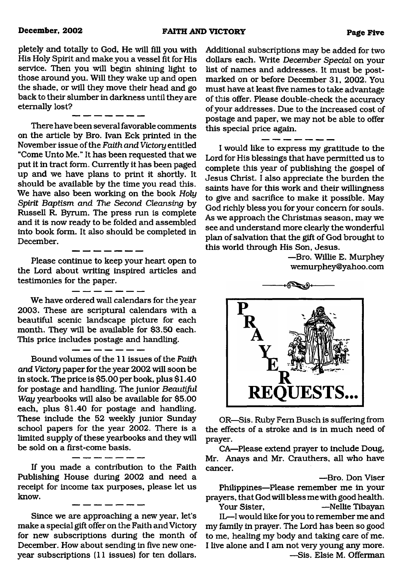**December, 2002 FAITH AND VICTORY Page Five**

pletely and totally to God, He will fill you with His Holy Spirit and make you a vessel fit for His service. Then you will begin shining light to those around you. Will they wake up and open the shade, or will they move their head and go back to their slumber in darkness until they are eternally lost?

There have been several favorable comments on the article by Bro. Ivan Eck printed in the November issue of the *Faith and Victory* entitled "Come Unto Me." It has been requested that we put it in tract form. Currently it has been paged up and we have plans to print it shortly. It should be available by the time you read this. We have also been working on the book *Holy Spirit Baptism and The Second Cleansing* by Russell R. Byrum. The press run is complete and it is now ready to be folded and assembled into book form. It also should be completed in December.

Please continue to keep your heart open to the Lord about writing inspired articles and testimonies for the paper.

We have ordered wall calendars for the year 2003. These are scriptural calendars with a beautiful scenic landscape picture for each month. They will be available for \$3.50 each. This price includes postage and handling.

\_\_\_\_\_\_\_

Bound volumes of the 11 issues of the *Faith and Victory* paper for the year 2002 will soon be in stock. The price is  $$5.00$  per book, plus  $$1.40$ for postage and handling. The junior *Beautiful Way* yearbooks will also be available for \$5.00 each, plus \$1.40 for postage and handling. These include the 52 weekly junior Sunday school papers for the year 2002. There is a limited supply of these yearbooks and they will be sold on a first-come basis.

If you made a contribution to the Faith Publishing House during 2002 and need a receipt for income tax purposes, please let us know.

Since we *are* approaching a new year, let's make a special gift offer on the Faith and Victory for new subscriptions during the month of December. How about sending in five new oneyear subscriptions (11 issues) for ten dollars.

Additional subscriptions may be added for two dollars each. Write *December Special* on your list of names and addresses. It must be postmarked on or before December 31, 2002. You must have at least five names to take advantage of this offer. Please double-check the accuracy of your addresses. Due to the increased cost of postage and paper, we may not be able to offer this special price again.

I would like to express my gratitude to the Lord for His blessings that have permitted us to complete this year of publishing the gospel of Jesus Christ. I also appreciate the burden the saints have for this work and their willingness to give and sacrifice to make it possible. May God richly bless you for your concern for souls. As we approach the Christmas season, may we see and understand more clearly the wonderful plan of salvation that the gift of God brought to this world through His Son, Jesus.

—Bro. Willie E. Murphey wemurphey@yahoo. com



OR—Sis. Ruby Fern Busch is suffering from the effects of a stroke and is in much need of prayer.

CA—Please extend prayer to include Doug, Mr. Anays and Mr. Crauthers, all who have cancer.

—Bro. Don Viser Philippines—Please remember me in your prayers, that God will bless me with good health. Your Sister, —Nellie Tibayan

IL—I would like for you to remember me and my family in prayer. The Lord has been so good to me, healing my body and taking care of me. I live alone and I am not very young any more. —Sis. Elsie M. Offerman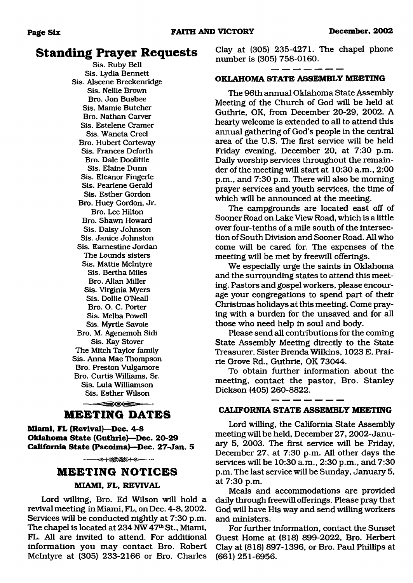## **Standing Prayer Requests**

**Sis. Ruby Bell Sis. Lydia Bennett Sis. Alscene Breckenridge Sis. Nellie Brown Bro. Jon Busbee Sis. Mamie Butcher Bro. Nathan Carver Sis. Estelene Cramer Sis. W aneta Creel Bro. Hubert Corteway Sis. Frances Deforth Bro. Dale Doolittle Sis. Elaine Dunn Sis. Eleanor Fingerle Sis. Pearlene Gerald Sis. Esther Gordon Bro. Huey Gordon, Jr. Bro. Lee Hilton Bro. Shawn Howard Sis. Daisy Johnson Sis. Janice Johnston Sis. Eam estine Jordan The Lounds sisters Sis. Mattie McIntyre Sis. Bertha Miles Bro. Allan Miller Sis. Virginia Myers Sis. Dollie O 'Neall Bro. O. C. Porter Sis. Melba Powell Sis. Myrtle Savoie Bro. M. Agenemoh Sidi Sis. Kay Stover The Mitch Taylor family Sis. Anna Mae Thompson Bro. Preston Vulgamore** Bro. Curtis Williams, Sr. **Sis. Lula Williamson Sis. Esther Wilson** ---

## **MEET IN O DATES**

**Miami, FL (Revival)—Dec. 4-8 Oklahoma State (Guthrie)—Dec. 20-29 California State (Pacoima)—Dec. 27-Jan. 5**

— ---------

# **M EETING NOTICES MIAMI, FL, REVIVAL**

Lord willing, Bro. Ed Wilson will hold a revival meeting in Miami, FL, on Dec. 4-8,2002. Services will be conducted nightly at 7:30 p.m. The chapel is located at  $234$  NW  $47<sup>th</sup>$  St., Miami, FL. All are invited to attend. For additional information you may contact Bro. Robert McIntyre at (305) 233-2166 or Bro. Charles

Clay at (305) 235-4271. The chapel phone number is (305) 758-0160.

#### **OKLAHOMA STATE ASSEMBLY MEETING**

The 96th annual Oklahoma State Assembly Meeting of the Church of God will be held at Guthrie, OK, from December 20-29, 2002. A hearty welcome is extended to all to attend this annual gathering of God's people in the central area of the U.S. The first service will be held Friday evening, December 20, at 7:30 p.m. Daily worship services throughout the remainder of the meeting will start at 10:30 a.m., 2:00 p.m., and 7:30 p.m. There will also be morning prayer services and youth services, the time of which will be announced at the meeting.

The campgrounds are located east off of Sooner Road on Lake View Road, which is a little over four-tenths of a mile south of the intersection of South Division and Sooner Road. All who come will be cared for. The expenses of the meeting will be met by freewill offerings.

We especially urge the saints in Oklahoma and the surrounding states to attend this meeting. Pastors and gospel workers, please encourage your congregations to spend part of their Christmas holidays at this meeting. Come praying with a burden for the unsaved and for all those who need help in soul and body.

Please send all contributions for the coming State Assembly Meeting directly to the State Treasurer, Sister Brenda Wilkins, 1023 E. Prairie Grove Rd., Guthrie, OK 73044.

To obtain further information about the meeting, contact the pastor, Bro. Stanley Dickson (405) 260-8822.

#### **CALIFORNIA STATE ASSEMBLY MEETING**

Lord willing, the California State Assembly meeting will be held, December 27, 2002-January 5, 2003. The first service will be Friday, December 27, at 7:30 p.m. All other days the services will be 10:30 a.m., 2:30 p.m., and 7:30 p.m. The last service will be Sunday, January 5, at 7:30 p.m.

Meals and accommodations are provided daily through freewill offerings. Please pray that God will have His way and send willing workers and ministers.

For further information, contact the Sunset Guest Home at (818) 899-2022, Bro. Herbert Clay at (818) 897-1396, or Bro. Paul Phillips at (661) 251-6956.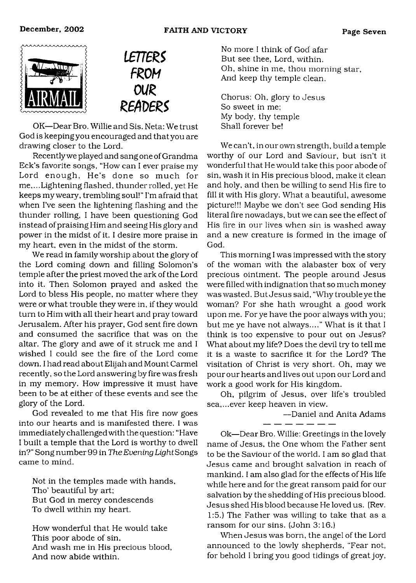



OK—Dear Bro. Willie and Sis. Neta: We trust God is keeping you encouraged and that you are drawing closer to the Lord.

Recently we played and sang one of Grandma Eck's favorite songs, "How can I ever praise my Lord enough. He's done so much for me,...Lightening flashed, thunder rolled, yet He keeps my weary, trembling soul!" I'm afraid that when I've seen the lightening flashing and the thunder rolling, I have been questioning God instead of praising Him and seeing His glory and power in the midst of it. I desire more praise in my heart, even in the midst of the storm.

We read in family worship about the glory of the Lord coming down and filling Solomon's temple after the priest moved the ark of the Lord into it. Then Solomon prayed and asked the Lord to bless His people, no matter where they were or what trouble they were in, if they would turn to Him with all their heart and pray toward Jerusalem. After his prayer, God sent fire down and consumed the sacrifice that was on the altar. The glory and awe of it struck me and I wished I could see the fire of the Lord come down. I had read about Elijah and Mount Carmel recently, so the Lord answering by fire was fresh in my memory. How impressive it must have been to be at either of these events and see the glory of the Lord.

God revealed to me that His fire now goes into our hearts and is manifested there. I was immediately challenged with the question: "Have I built a temple that the Lord is worthy to dwell in?" Song number 99 in *The Evening LightSongs* came to mind.

Not in the temples made with hands, Tho' beautiful by art; But God in mercy condescends To dwell within my heart.

How wonderful that He would take This poor abode of sin, And wash me in His precious blood, And now abide within.

No more I think of God afar But see thee, Lord, within. Oh, shine in me, thou morning star, And keep thy temple clean.

Chorus: Oh, glory to Jesus So sweet in me; My body, thy temple Shall forever be!

We can't, in our own strength, build a temple worthy of our Lord and Saviour, but isn't it wonderful that He would take this poor abode of sin, wash it in His precious blood, make it clean and holy, and then be willing to send His fire to fill it with His glory. What a beautiful, awesome picture!!! Maybe we don't see God sending His literal fire nowadays, but we can see the effect of His fire in our lives when sin is washed away and a new creature is formed in the image of God.

This morning I was impressed with the story of the woman with the alabaster box of very precious ointment. The people around Jesus were filled with indignation that so much money was wasted. But Jesus said, "Why troubleyethe woman? For she hath wrought a good work upon me. For ye have the poor always with you; but me ye have not always...." What is it that I think is too expensive to pour out on Jesus? What about my life? Does the devil try to tell me it is a waste to sacrifice it for the Lord? The visitation of Christ is very short. Oh, may we pour our hearts and lives out upon our Lord and work a good work for His kingdom.

Oh, pilgrim of Jesus, over life's troubled sea,...ever keep heaven in view.

 $\cdot = \cdot = \cdot = \cdot$ 

—Daniel and Anita Adams

Ok—Dear Bro. Willie: Greetings in the lovely name of Jesus, the One whom the Father sent to be the Saviour of the world. I am so glad that Jesus came and brought salvation in reach of mankind. I am also glad for the effects of His life while here and for the great ransom paid for our salvation by the shedding of His precious blood. Jesus shed His blood because He loved us. (Rev. 1:5.) The Father was willing to take that as a ransom for our sins. (John 3:16.)

When Jesus was born, the angel of the Lord announced to the lowly shepherds, "Fear not, for behold I bring you good tidings of great joy,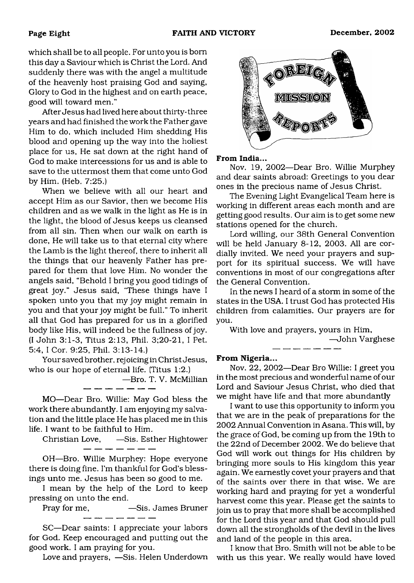which shall be to all people. For unto you is bom this day a Saviour which is Christ the Lord. And suddenly there was with the angel a multitude of the heavenly host praising God and saying, Glory to God in the highest and on earth peace, good will toward men."

After Jesus had lived here about thirty-three years and had finished the work the Father gave Him to do, which included Him shedding His blood and opening up the way into the holiest place for us, He sat down at the right hand of God to make intercessions for us and is able to save to the uttermost them that come unto God by Him. (Heb. 7:25.)

When we believe with all our heart and accept Him as our Savior, then we become His children and as we walk in the light as He is in the light, the blood of Jesus keeps us cleansed from all sin. Then when our walk on earth is done, He will take us to that eternal city where the Lamb is the light thereof, there to inherit all the things that our heavenly Father has prepared for them that love Him. No wonder the angels said, "Behold I bring you good tidings of great joy." Jesus said, 'These things have I spoken unto you that my joy might remain in you and that your joy might be full." To inherit all that God has prepared for us in a glorified body like His, will indeed be the fullness of joy. (I John 3:1-3, Titus 2:13, Phil. 3:20-21, I Pet. 5:4, I Cor. 9:25, Phil. 3:13-14.)

Your saved brother, rejoicing in Christ Jesus, who is our hope of eternal life. (Titus 1:2.)

 $-$ Bro. T. V. McMillian

MO—Dear Bro. Willie: May God bless the work there abundantly. I am enjoying my salvation and the little place He has placed me in this life. I want to be faithful to Him.

Christian Love, —Sis. Esther Hightower  $\begin{tabular}{lllllllllll} \toprule \multicolumn{1}{l}{} & \multicolumn{1}{l}{} & \multicolumn{1}{l}{} & \multicolumn{1}{l}{} & \multicolumn{1}{l}{} & \multicolumn{1}{l}{} & \multicolumn{1}{l}{} & \multicolumn{1}{l}{} & \multicolumn{1}{l}{} & \multicolumn{1}{l}{} & \multicolumn{1}{l}{} & \multicolumn{1}{l}{} & \multicolumn{1}{l}{} & \multicolumn{1}{l}{} & \multicolumn{1}{l}{} & \multicolumn{1}{l}{} & \multicolumn{1}{l}{} & \multicolumn{1}{l}{} & \multicolumn{1$ 

OH—Bro. Willie Murphey: Hope everyone there is doing fine. I'm thankful for God's blessings unto me. Jesus has been so good to me.

I mean by the help of the Lord to keep pressing on unto the end.

Pray for me, —Sis. James Bruner  $\overline{\phantom{a}}$ 

SC—Dear saints: I appreciate your labors for God. Keep encouraged and putting out the good work. I am praying for you.

Love and prayers, —Sis. Helen Underdown



#### From India...

Nov. 19, 2002—Dear Bro. Willie Murphey and dear saints abroad: Greetings to you dear ones in the precious name of Jesus Christ.

The Evening Light Evangelical Team here is working in different areas each month and are getting good results. Our aim is to get some new stations opened for the church.

Lord willing, our 38th General Convention will be held January 8-12, 2003. All are cordially invited. We need your prayers and support for its spiritual success. We will have conventions in most of our congregations after the General Convention.

In the news I heard of a storm in some of the states in the USA. I trust God has protected His children from calamities. Our prayers are for you.

With love and prayers, yours in Him,

—John Varghese

#### From Nigeria...

Nov. 22, 2002—Dear Bro Willie: I greet you in the most precious and wonderful name of our Lord and Saviour Jesus Christ, who died that we might have life and that more abundantly

I want to use this opportunity to inform you that we are in the peak of preparations for the 2002 Annual Convention in Asana. This will, by the grace of God, be coming up from the 19th to the 22nd of December 2002. We do believe that God will work out things for His children by bringing more souls to His kingdom this year again. We earnestly covet your prayers and that of the saints over there in that wise. We are working hard and praying for yet a wonderful harvest come this year. Please get the saints to join us to pray that more shall be accomplished for the Lord this year and that God should pull down all the strongholds of the devil in the lives and land of the people in this area.

I know that Bro. Smith will not be able to be with us this year. We really would have loved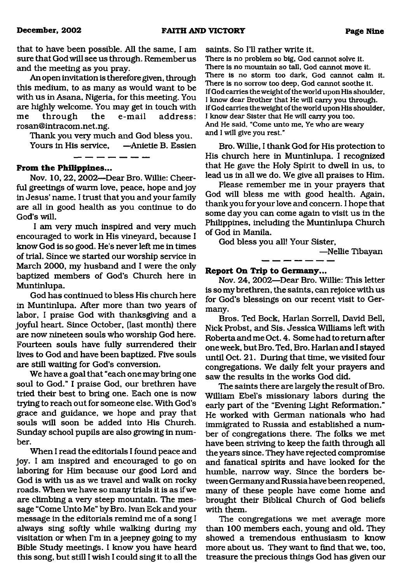that to have been possible. All the same, I am sure that God will see us through. Remember us and the meeting as you pray.

An open invitation is therefore given, through this medium, to as many as would want to be with us in Asana, Nigeria, for this meeting. You are highly welcome. You may get in touch with me through the e-mail address: rosan@intracom.net.ng.

Thank you very much and God bless you.

Yours in His service, —Anietie B. Essien

#### **From the Philippines...**

Nov. 10, 22, 2002—Dear Bro. Willie: Cheerful greetings of warm love, peace, hope and joy in Jesus' name. I trust that you and your family are all in good health as you continue to do God's will.

I am very much inspired and very much encouraged to work in His vineyard, because I know God is so good. He's never left me in times of trial. Since we started our worship service in March 2000, my husband and I were the only baptized members of God's Church here in Muntinlupa.

God has continued to bless His church here in Muntinlupa. After more than two years of labor, I praise God with thanksgiving and a joyful heart. Since October, (last month) there are now nineteen souls who worship God here. Fourteen souls have fully surrendered their lives to God and have been baptized. Five souls are still waiting for God's conversion.

We have a goal that "each one may bring one soul to God." I praise God, our brethren have tried their best to bring one. Each one is now trying to reach out for someone else. With God's grace and guidance, we hope and pray that souls will soon be added into His Church. Sunday school pupils are also growing in number.

When I read the editorials I found peace and joy. I am inspired and encouraged to go on laboring for Him because our good Lord and God is with us as we travel and walk on rocky roads. When we have so many trials it is as if we are climbing a very steep mountain. The message "Come Unto Me" by Bro. Ivan Eck and your message in the editorials remind me of a song I always sing softly while walking during my visitation or when I'm in a jeepney going to my Bible Study meetings. I know you have heard this song, but still I wish I could sing it to all the saints. So I'll rather write it.

**There is no problem so big, God cannot solve it. There is no mountain so tall, God cannot move it. There is no storm too dark, God cannot calm it. There is no sorrow too deep, God cannot soothe it. If God carries the weight of the world upon His shoulder, I know dear Brother that He will cany you through. If God carries the weight of the world upon His shoulder, I know dear Sister that He will carry you too. And He said, "Come unto me, Ye who are weary and I will give you rest."**

Bro. Willie, I thank God for His protection to His church here in Muntinlupa. I recognized that He gave the Holy Spirit to dwell in us, to lead us in all we do. We give all praises to Him.

Please remember me in your prayers that God will bless me with good health. Again, thank you for your love and concern. I hope that some day you can come again to visit us in the Philippines, including the Muntinlupa Church of God in Manila.

God bless you all! Your Sister,

—Nellie Tibayan

#### **Report On Trip to Germany...**

Nov. 24, 2002—Dear Bro. Willie: This letter is so my brethren, the saints, can rejoice with us for God's blessings on our recent visit to Germany.

Bros. Ted Bock, Harlan Sorrell, David Bell, Nick Probst, and Sis. Jessica Williams left with Roberta and me Oct. 4. Some had to return after one week, but Bro. Ted, Bro. Harlan and I stayed until Oct. 21. During that time, we visited four congregations. We daily felt your prayers and saw the results in the works God did.

The saints there are largely the result of Bro. William Ebel's missionary labors during the early part of the "Evening Light Reformation." He worked with German nationals who had immigrated to Russia and established a number of congregations there. The folks we met have been striving to keep the faith through all the years since. They have rejected compromise and fanatical spirits and have looked for the humble, narrow way. Since the borders between Germany and Russia have been reopened, many of these people have come home and brought their Biblical Church of God beliefs with them.

The congregations we met average more than 100 members each, young and old. They showed a tremendous enthusiasm to know more about us. They want to find that we, too, treasure the precious things God has given our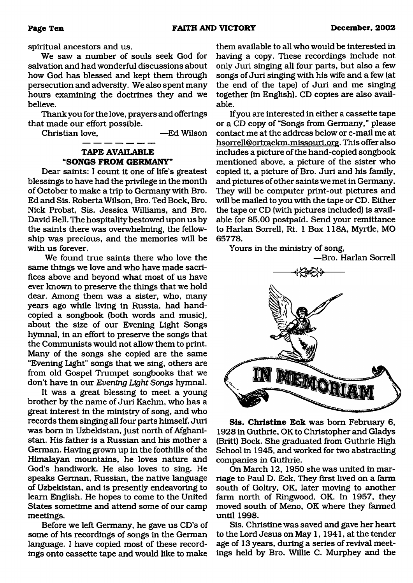spiritual ancestors and us.

We saw a number of souls seek God for salvation and had wonderful discussions about how God has blessed and kept them through persecution and adversity. We also spent many hours examining the doctrines they and we believe.

Thank you for the love, prayers and offerings that made our effort possible.

Christian love, —Ed Wilson

### **TAPE AVAILABLE "SONGS FROM GERMANY"**

Dear saints: I count it one of life's greatest blessings to have had the privilege in the month of October to make a trip to Germany with Bro. Ed and Sis. Roberta Wilson, Bro. Ted Bock, Bro. Nick Probst, Sis. Jessica Williams, and Bro. David Bell. The hospitality bestowed upon us by the saints there was overwhelming, the fellowship was precious, and the memories will be with us forever.

We found true saints there who love the same things we love and who have made sacrifices above and beyond what most of us have ever known to preserve the things that we hold dear. Among them was a sister, who, many years ago while living in Russia, had handcopied a songbook (both words and music), about the size of our Evening Light Songs hymnal, in an effort to preserve the songs that the Communists would not allow them to print. Many of the songs she copied are the same "Evening Light" songs that we sing, others are from old Gospel Trumpet songbooks that we don't have in our *Evening Light Songs* hymnal.

It was a great blessing to meet a young brother by the name of Juri Kaehm, who has a great interest in the ministiy of song, and who records them singing all four parts himself. Juri was bom in Uzbekistan, just north of Afghanistan. His father is a Russian and his mother a German. Having grown up in the foothills of the Himalayan mountains, he loves nature and God's handiwork. He also loves to sing. He speaks German, Russian, the native language of Uzbekistan, and is presently endeavoring to learn English. He hopes to come to the United States sometime and attend some of our camp meetings.

Before we left Germany, he gave us CD's of some of his recordings of songs in the German language. I have copied most of these recordings onto cassette tape and would like to make

them available to all who would be interested in having a copy. These recordings include not only Juri singing all four parts, but also a few songs of Juri singing with his wife and a few (at the end of the tape) of Juri and me singing together (in English). CD copies are also available.

If you are interested in either a cassette tape or a CD copy of "Songs from Germany," please contact me at the address below or e-mail me at [hsorrell@ortrackm.missouri.org.](mailto:hsorrell@ortrackm.missouri.org) This offer also includes a picture of the hand-copied songbook mentioned above, a picture of the sister who copied it, a picture of Bro. Juri and his family, and pictures of other saints we met in Germany. They will be computer print-out pictures and will be mailed to you with the tape or CD. Either the tape or CD (with pictures included) is available for \$5.00 postpaid. Send your remittance to Harlan Sorrell, Rt. 1 Box 118A, Myrtle, MO 65778.

Yours in the ministry of song,

—Bro. Harlan Sorrell



**Sis. Christine Eck** was bom February 6, 1928 in Guthrie, OK to Christopher and Gladys (Britt) Bock. She graduated from Guthrie High School in 1945, and worked for two abstracting companies in Guthrie.

On March 12, 1950 she was united in marriage to Paul D. Eck. They first lived on a farm south of Goltry, OK, later moving to another farm north of Ringwood, OK. In 1957, they moved south of Meno, OK where they farmed until 1998.

Sis. Christine was saved and gave her heart to the Lord Jesus on May 1, 1941, at the tender age of 13 years, during a series of revival meetings held by Bro. Willie C. Murphey and the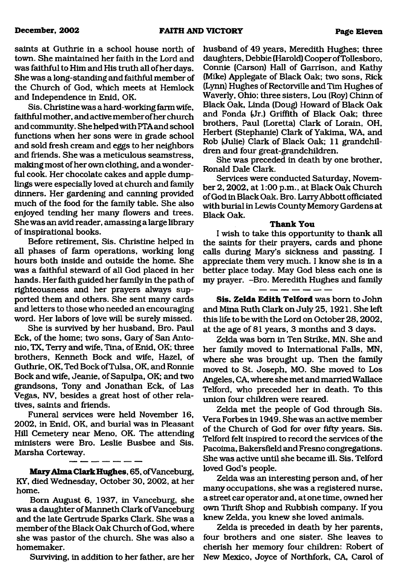saints at Guthrie in a school house north of town. She maintained her faith in the Lord and was faithful to Him and His truth all of her days. She was a long-standing and faithful member of the Church of God, which meets at Hemlock and Independence in Enid, OK.

Sis. Christine was a hard-working farm wife, faithful mother, and active member of her church and community. She helped with PTA and school functions when her sons were in grade school and sold fresh cream and eggs to her neighbors and friends. She was a meticulous seamstress, making most of her own clothing, and a wonderful cook. Her chocolate cakes and apple dumplings were especially loved at church and family dinners. Her gardening and canning provided much of the food for the family table. She also enjoyed tending her many flowers and trees. She was an avid reader, amassing a large library of inspirational books.

Before retirement, Sis. Christine helped in all phases of farm operations, working long hours both inside and outside the home. She was a faithful steward of all God placed in her hands. Her faith guided her family in the path of righteousness and her prayers always supported them and others. She sent many cards and letters to those who needed an encouraging word. Her labors of love will be surely missed.

She is survived by her husband, Bro. Paul Eck, of the home; two sons, Gary of San Antonio, TX, Terry and wife, Tina, of Enid, OK; three brothers, Kenneth Bock and wife, Hazel, of Guthrie, OK, Ted Bock of Tulsa, OK, and Ronnie Bock and wife, Jeanie, of Sapulpa, OK; and two grandsons, Tony and Jonathan Eck, of Las Vegas, NV, besides a great host of other relatives, saints and friends.

Funeral services were held November 16, 2002, in Enid, OK, and burial was in Pleasant Hill Cemetery near Meno, OK. The attending ministers were Bro. Leslie Busbee and Sis. Marsha Corteway.

**Mary Alma Clark Hughes,** 65, ofVanceburg, KY, died Wednesday, October 30, 2002, at her home.

Bom August 6, 1937, in Vanceburg, she was a daughter of Manneth Clark of Vanceburg and the late Gertrude Sparks Clark. She was a member of the Black Oak Church of God, where she was pastor of the church. She was also a homemaker.

Surviving, in addition to her father, are her

husband of 49 years, Meredith Hughes; three daughters, Debbie (Harold) Cooper of Tollesboro, Connie (Carson) Hall of Garrison, and Kathy (Mike) Applegate of Black Oak; two sons, Rick (Lynn) Hughes of Rectorville and Tim Hughes of Waverly, Ohio; three sisters, Lou (Roy) Chinn of Black Oak, Linda (Doug) Howard of Black Oak and Fonda (Jr.) Griffith of Black Oak; three brothers, Paul (Loretta) Clark of Lorain, OH, Herbert (Stephanie) Clark of Yakima, WA, and Rob (Julie) Clark of Black Oak; 11 grandchildren and four great-grandchildren.

She was preceded in death by one brother, Ronald Dale Clark.

Services were conducted Saturday, November 2, 2002, at 1:00 p.m., at Black Oak Church of God in Black Oak. Bro. Larry Abbott officiated with burial in Lewis County Memory Gardens at Black Oak.

#### **Thank You**

I wish to take this opportunity to thank all the saints for their prayers, cards and phone calls during Mary's sickness and passing. I appreciate them very much. I know she is in a better place today. May God bless each one is my prayer. -Bro. Meredith Hughes and family

**Sis. Zelda Edith Telford** was bom to John and Mina Ruth Clark on July 25, 1921. She left this life to be with the Lord on October 28,2002, at the age of 81 years, 3 months and 3 days.

Zelda was bom in Ten Strike, MN. She and her family moved to International Falls, MN, where she was brought up. Then the family moved to St. Joseph, MO. She moved to Los Angeles, CA, where she met and married Wallace Telford, who preceded her in death. To this union four children were reared.

Zelda met the people of God through Sis. Vera Forbes in 1949. She was an active member of the Church of God for over fifty years. Sis. Telford felt inspired to record the services of the Pacoima, Bakersfield and Fresno congregations. She was active until she became ill. Sis. Telford loved God's people.

Zelda was an interesting person and, of her many occupations, she was a registered nurse, a street car operator and, at one time, owned her own Thrift Shop and Rubbish company. If you knew Zelda, you knew she loved animals.

Zelda is preceded in death by her parents, four brothers and one sister. She leaves to cherish her memory four children: Robert of New Mexico, Joyce of Northfork, CA, Carol of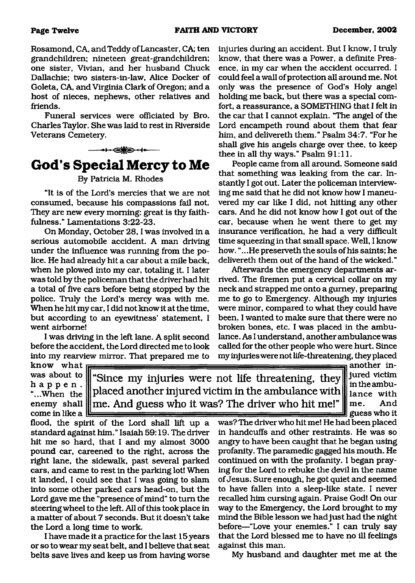Rosamond, CA, and Teddy of Lancaster, CA; ten grandchildren; nineteen great-grandchildren; one sister, Vivian, and her husband Chuck Dallachie; two sisters-in-law, Alice Docker of Goleta, CA, and Virginia Clark of Oregon; and a host of nieces, nephews, other relatives and friends.

Funeral services were officiated by Bro. Charles Taylor. She was laid to rest in Riverside Veterans Cemetery.



# <span id="page-11-0"></span>**God's Special Mercy to Me**

#### By Patricia M. Rhodes

"It is of the Lord's mercies that we are not consumed, because his compassions fail not. They are new every morning: great is thy faithfulness." Lamentations 3:22-23.

On Monday, October 28,1 was involved in a serious automobile accident. A man driving under the influence was running from the police. He had already hit a car about a mile back, when he plowed into my car, totaling it. I later was told by the policeman that the driver had hit a total of five cars before being stopped by the police. Truly the Lord's mercy was with me. When he hit my car, I did not know it at the time, but according to an eyewitness' statement, I went airborne!

I was driving in the left lane. A split second before the accident, the Lord directed me to look into my rearview mirror. That prepared me to injuries during an accident. But I know, I truly know, that there was a Power, a definite Presence, in my car when the accident occurred. I could feel a wall of protection all around me. Not only was the presence of God's Holy angel holding me back, but there was a special comfort, a reassurance, a SOMETHING that I felt in the car that I cannot explain. "The angel of the Lord encampeth round about them that fear him, and delivereth them." Psalm 34:7. "For he shall give his angels charge over thee, to keep thee in all thy ways." Psalm 91:11.

People came from all around. Someone said that something was leaking from the car. Instantly I got out. Later the policeman interviewing me said that he did not know how I maneuvered my car like I did, not hitting any other cars. And he did not know how I got out of the car, because when he went there to get my insurance verification, he had a very difficult time squeezing in that small space. Well, I know how. "...He preserveth the souls of his saints; he delivereth them out of the hand of the wicked."

Afterwards the emergency departments arrived. The firemen put a cervical collar on my neck and strapped me onto a gurney, preparing me to go to Emergency. Although my injuries were minor, compared to what they could have been, I wanted to make sure that there were no broken bones, etc. I was placed in the ambulance. As I understand, another ambulance was called for the other people who were hurt. Since my injuries were not life-threatening, they placed

know what was about to happen. "...When the enemy shall come in like a

me. And **me. And guess who it was? The driver who hit me!""Since my injuries were not life threatening, they placed another injured victim in the ambulance with**

another injured victim in the ambulance with guess who it

flood, the spirit of the Lord shall lift up a standard against him." Isaiah 59:19. The driver hit me so hard, that I and my almost 3000 pound car, careened to the right, across the right lane, the sidewalk, past several parked cars, and came to rest in the parking lot! When it landed, I could see that I was going to slam into some other parked cars head-on, but the Lord gave me the "presence of mind" to turn the steering wheel to the left. All of this took place in a matter of about 7 seconds. But it doesn't take the Lord a long time to work.

I have made it a practice for the last 15 years or so to wear my seat belt, and I believe that seat belts save lives and keep us from having worse was? The driver who hit me! He had been placed in handcuffs and other restraints. He was so angry to have been caught that he began using profanity. The paramedic gagged his mouth. He continued on with the profanity. I began praying for the Lord to rebuke the devil in the name of Jesus. Sure enough, he got quiet and seemed to have fallen into a sleep-like state. I never recalled him cursing again. Praise God! On our way to the Emergency, the Lord brought to my mind the Bible lesson we had just had the night before—"Love your enemies." I can truly say that the Lord blessed me to have no ill feelings against this man.

My husband and daughter met me at the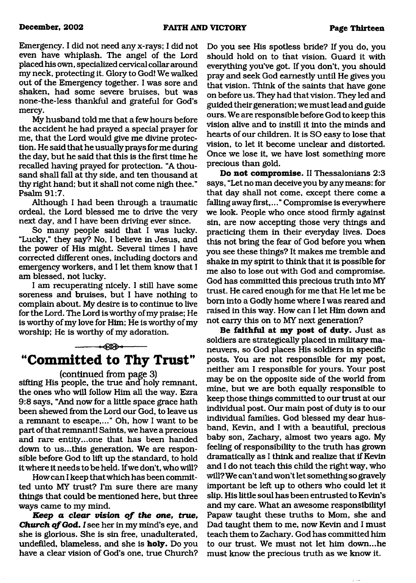Emergency. I did not need any x-rays; I did not even have whiplash. The angel of the Lord placed his own, specialized cervical collar around my neck, protecting it. Glory to God! We walked out of the Emergency together. I was sore and shaken, had some severe bruises, but was none-the-less thankful and grateful for God's mercy.

My husband told me that a few hours before the accident he had prayed a special prayer for me, that the Lord would give me divine protection. He said that he usually prays for me during the day, but he said that this is the first time he recalled having prayed for protection. "A thousand shall fall at thy side, and ten thousand at thy right hand; but it shall not come nigh thee." Psalm 91:7.

Although I had been through a traumatic ordeal, the Lord blessed me to drive the very next day, and I have been driving ever since.

So many people said that I was lucky. "Lucky," they say? No, I believe in Jesus, and the power of His might. Several times I have corrected different ones, including doctors and emergency workers, and I let them know that I am blessed, not lucky.

I am recuperating nicely. I still have some soreness and bruises, but I have nothing to complain about. My desire is to continue to live for the Lord. The Lord is worthy of my praise; He is worthy of my love for Him; He is worthy of my worship; He is worthy of my adoration.



#### **(continued from page 3)**

sifting His people, the true and holy remnant, the ones who will follow Him all the way. Ezra 9:8 says, "And now for a little space grace hath been shewed from the Lord our God, to leave us a remnant to escape,..." Oh, how I want to be part of that remnant! Saints, we have a precious and rare entity...one that has been handed down to us...this generation. We are responsible before God to lift up the standard, to hold it where it needs to be held. If we don't, who will?

How can I keep that which has been committed unto MY trust? I'm sure there are many things that could be mentioned here, but three ways came to my mind.

Keep a clear vision of the one, true, *Church of God. I* see her in my mind's eye, and she is glorious. She is sin free, unadulterated, undefiled, blameless, and she is **holy.** Do you have a clear vision of God's one, true Church?

Do you see His spotless bride? If you do, you should hold on to that vision. Guard it with everything you've got. If you don't, you should pray and seek God earnestly until He gives you that vision. Think of the saints that have gone on before us. They had that vision. They led and guided their generation; we must lead and guide ours. We are responsible before God to keep this vision alive and to instill it into the minds and hearts of our children. It is SO easy to lose that vision, to let it become unclear and distorted. Once we lose it, we have lost something more precious than gold.

**Do not compromise.** II Thessalonians 2:3 says, "Let no man deceive you by any means: for that day shall not come, except there come a falling away first,..." Compromise is everywhere we look. People who once stood firmly against sin, are now accepting those very things and practicing them in their everyday lives. Does this not bring the fear of God before you when you see these things? It makes me tremble and shake in my spirit to think that it is possible for me also to lose out with God and compromise. God has committed this precious truth into MY trust. He cared enough for me that He let me be bom into a Godly home where I was reared and raised in this way. How can I let Him down and not carry this on to MY next generation?

Be faithful at my post of duty. Just as soldiers are strategically placed in military maneuvers, so God places His soldiers in specific posts. You are not responsible for my post, neither am I responsible for yours. Your post may be on the opposite side of the world from mine, but we are both equally responsible to keep those things committed to our trust at our individual post. Our main post of duty is to our individual families. God blessed my dear husband, Kevin, and I with a beautiful, precious baby son, Zachary, almost two years ago. My feeling of responsibility to the truth has grown dramatically as I think and realize that if Kevin and I do not teach this child the right way, who will? We can't and won't let something so gravely important be left up to others who could let it slip. His little soul has been entrusted to Kevin's and my care. What an awesome responsibility! Papaw taught these truths to Mom, she and Dad taught them to me, now Kevin and I must teach them to Zachary. God has committed him to our trust. We must not let him down...he must know the precious truth as we know it.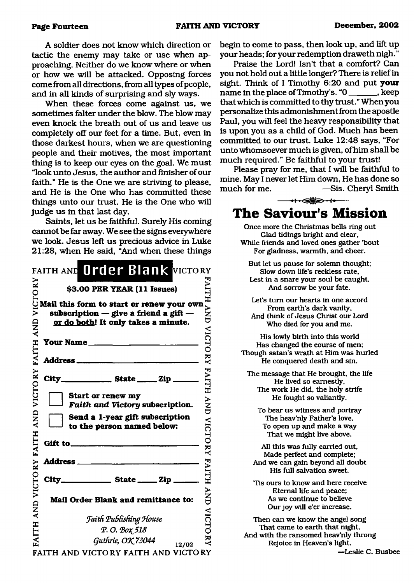A soldier does not know which direction or tactic the enemy may take or use when approaching. Neither do we know where or when or how we will be attacked. Opposing forces come from all directions, from all types of people, and in all kinds of surprising and sly ways.

When these forces come against us, we sometimes falter under the blow. The blow may even knock the breath out of us and leave us completely off our feet for a time. But, even in those darkest hours, when we are questioning people and their motives, the most important thing is to keep our eyes on the goal. We must "look unto Jesus, the author and finisher of our faith." He is the One we are striving to please, and He is the One who has committed these things unto our trust. He is the One who will judge us in that last day.

Saints, let us be faithful. Surely His coming cannot be far away. We see the signs everywhere we look. Jesus left us precious advice in Luke 21:28, when He said, "And when these things

| RY            | FAITH AND Order Blank VICTORY<br>\$3.00 PER YEAR (11 Issues)                                                                  |                 |
|---------------|-------------------------------------------------------------------------------------------------------------------------------|-----------------|
| VICTO<br>AND  | Mail this form to start or renew your own<br>subscription $-$ give a friend a gift $-$<br>or do both! It only takes a minute. | <b>AITH AND</b> |
| <b>FAITH</b>  | Your Name<br><b>Address</b> _________                                                                                         | <b>VICTORY</b>  |
| VICTORY       | City_<br>_____________ State ______ Zip _                                                                                     | <b>FAITH</b>    |
|               | <b>Start or renew my</b><br>Faith and Victory subscription.                                                                   | AND             |
| <b>AND</b>    | Send a 1-year gift subscription<br>to the person named below:                                                                 |                 |
| VICTORY FAITH | Gift to_<br><b>Address</b>                                                                                                    | VICTORY FAITH   |
|               | City_<br>$\frac{1}{\sqrt{1-\frac{1}{2}}\sqrt{1-\frac{1}{2}}\sin \frac{1}{2}}$                                                 |                 |
|               | Mail Order Blank and remittance to:                                                                                           | AN<br>D         |
| FAITH AND     | <b>Faith Publishing House</b><br>P.O. Box 518                                                                                 | VICTO           |
|               | Guthrie, OK 73044<br>12/02<br>FAITH AND VICTORY FAITH AND VICTORY                                                             | ž               |

begin to come to pass, then look up, and lift up your heads: for your redemption draweth nigh."

Praise the Lord! Isn't that a comfort? Can you not hold out a little longer? There is relief in sight. Think of I Timothy 6:20 and put **your** name in the place of Timothy's. "0 \_\_\_\_\_\_, keep that which is committed to thy trust. " When you personalize this admonishment from the apostle Paul, you will feel the heavy responsibility that is upon you as a child of God. Much has been committed to our trust. Luke 12:48 says, "For unto whomsoever much is given, of him shall be much required." Be faithful to your trust!

Please pray for me, that I will be faithful to mine. May I never let Him down, He has done so much for me. —Sis. Cheryl Smith

# <span id="page-13-0"></span> $\rightarrow$ **The Saviour's Mission**

**Once more the Christmas bells ring out Glad tidings bright and clear. While friends and loved ones gather 'bout For gladness, warmth, and cheer.**

**But let us pause for solemn thought; Slow down life's reckless rate, Lest in a snare your soul be caught. And sorrow be your fate.**

**Let's turn our hearts in one accord From earth's dark vanity, And think of Jesus Christ our Lord Who died for you and me.**

**His lowly birth into this world Has changed the course of men; Though satan's wrath at Him was hurled He conquered death and sin.**

**The message that He brought, the life He lived so earnestly, The work He did, the holy strife He fought so valiantly.**

**To bear us witness and portray The heav'nly Father's love. To open up and make a way That we might live above.**

**All this was fully carried out, Made perfect and complete; And we can gain beyond all doubt His full salvation sweet.**

Tis ours to know and here receive **Eternal life and peace; As we continue to believe Our joy will e'er increase.**

**Then can we know the angel song That came to earth that night. And with the ransomed heav'nly throng Rejoice in Heaven's light.**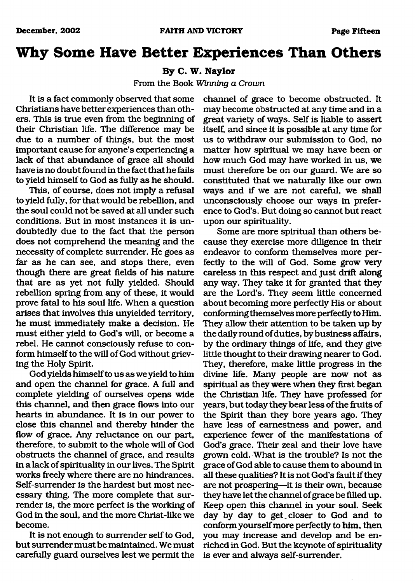# **Why Some Have Better Experiences Than Others**

#### **By C. W. Naylor**

From the Book *Winning a Crown*

It is a fact commonly observed that some Christians have better experiences than others. This is true even from the beginning of their Christian life. The difference may be due to a number of things, but the most im portant cause for anyone's experiencing a lack of that abundance of grace all should have is no doubt found in the fact that he fails to yield him self to God as fully as he should.

This, of course, does not imply a refusal to yield fully, for that would be rebellion, and the soul could not be saved at all under such conditions. But in most instances it is undoubtedly due to the fact that the person does not comprehend the meaning and the necessity of complete surrender. He goes as far as he can see, and stops there, even though there are great fields of his nature that are as yet not fully yielded. Should rebellion spring from any of these, it would prove fatal to his soul life. When a question arises that involves this unyielded territory, he must immediately make a decision. He must either yield to God's will, or become a rebel. He cannot consciously refuse to conform himself to the will of God without grieving the Holy Spirit.

God yields him self to us as we yield to him and open the channel for grace. A full and complete yielding of ourselves opens wide this channel, and then grace flows into our hearts in abundance. It is in our power to close this channel and thereby hinder the flow of grace. Any reluctance on our part, therefore, to submit to the whole will of God obstructs the channel of grace, and results in a lack of spirituality in our lives. The Spirit works freely where there are no hindrances. Self-surrender is the hardest but most necessary thing. The more complete that surrender is, the more perfect is the working of God in the soul, and the more Christ-like we become.

It is not enough to surrender self to God, but surrender must be maintained. We must carefully guard ourselves lest we permit the channel of grace to become obstructed. It may become obstructed at any time and in a great variety of ways. Self is liable to assert itself, and since it is possible at any time for us to withdraw our submission to God, no matter how spiritual we may have been or how much God may have worked in us, we must therefore be on our guard. We are so constituted that we naturally like our own ways and if we are not careful, we shall unconsciously choose our ways in preference to God's. But doing so cannot but react upon our spirituality.

Some are more spiritual than others because they exercise more diligence in their endeavor to conform themselves more perfectly to the will of God. Some grow very careless in this respect and just drift along any way. They take it for granted that they are the Lord's. They seem little concerned about becoming more perfectly His or about conforming themselves more perfectly to Him. They allow their attention to be taken up by the daily round of duties, by business affairs, by the ordinary things of life, and they give little thought to their drawing nearer to God. They, therefore, make little progress in the divine life. Many people are now not as spiritual as they were when they first began the Christian life. They have professed for years, but today they bear less of the fruits of the Spirit than they bore years ago. They have less of earnestness and power, and experience fewer of the manifestations of God's grace. Their zeal and their love have grown cold. What is the trouble? Is not the grace of God able to cause them to abound in all these qualities? It is not God's fault if they are not prospering—it is their own, because they have let the channel of grace be filled up. Keep open this channel in your soul. Seek day by day to get closer to God and to conform yourself more perfectly to him, then you may increase and develop and be enriched in God. But the keynote of spirituality is ever and always self-surrender.